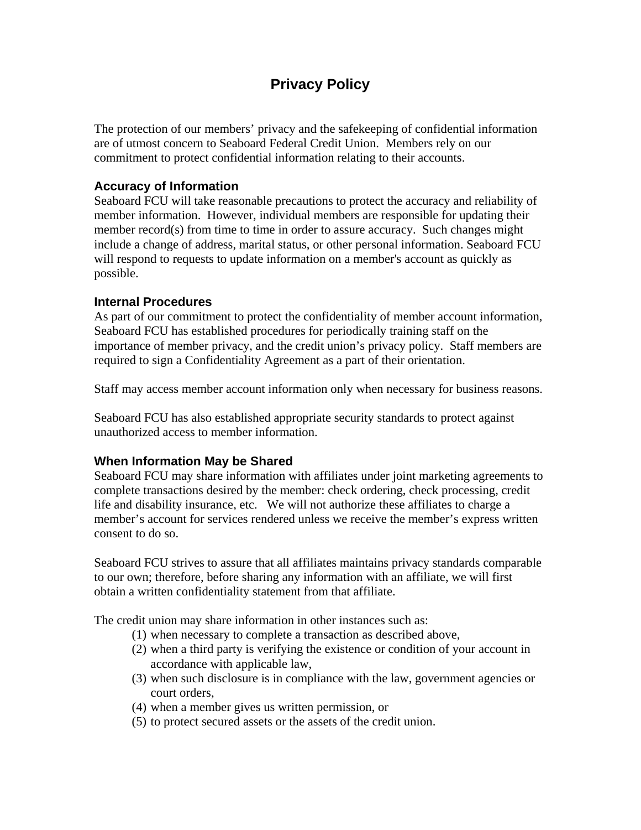# **Privacy Policy**

The protection of our members' privacy and the safekeeping of confidential information are of utmost concern to Seaboard Federal Credit Union. Members rely on our commitment to protect confidential information relating to their accounts.

#### **Accuracy of Information**

Seaboard FCU will take reasonable precautions to protect the accuracy and reliability of member information. However, individual members are responsible for updating their member record(s) from time to time in order to assure accuracy. Such changes might include a change of address, marital status, or other personal information. Seaboard FCU will respond to requests to update information on a member's account as quickly as possible.

#### **Internal Procedures**

As part of our commitment to protect the confidentiality of member account information, Seaboard FCU has established procedures for periodically training staff on the importance of member privacy, and the credit union's privacy policy. Staff members are required to sign a Confidentiality Agreement as a part of their orientation.

Staff may access member account information only when necessary for business reasons.

Seaboard FCU has also established appropriate security standards to protect against unauthorized access to member information.

## **When Information May be Shared**

Seaboard FCU may share information with affiliates under joint marketing agreements to complete transactions desired by the member: check ordering, check processing, credit life and disability insurance, etc. We will not authorize these affiliates to charge a member's account for services rendered unless we receive the member's express written consent to do so.

Seaboard FCU strives to assure that all affiliates maintains privacy standards comparable to our own; therefore, before sharing any information with an affiliate, we will first obtain a written confidentiality statement from that affiliate.

The credit union may share information in other instances such as:

- (1) when necessary to complete a transaction as described above,
- (2) when a third party is verifying the existence or condition of your account in accordance with applicable law,
- (3) when such disclosure is in compliance with the law, government agencies or court orders,
- (4) when a member gives us written permission, or
- (5) to protect secured assets or the assets of the credit union.